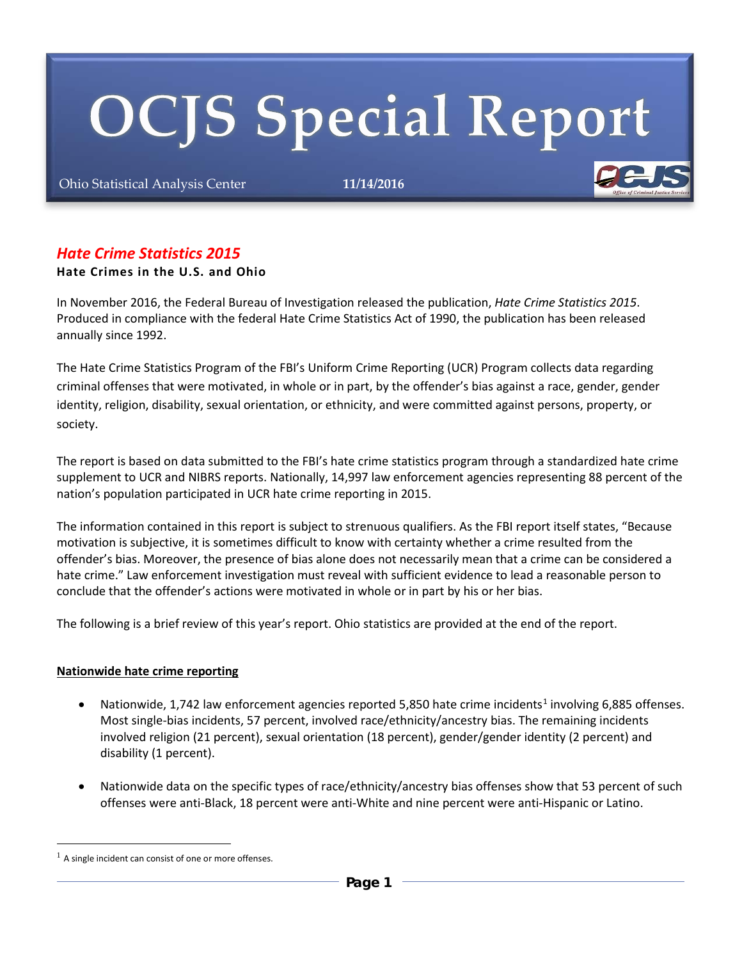# **OCJS Special Report**

Ohio Statistical Analysis Center **11/14/2016**



# *Hate Crime Statistics 2015*

## **Hate Crimes in the U.S. and Ohio**

In November 2016, the Federal Bureau of Investigation released the publication, *Hate Crime Statistics 2015*. Produced in compliance with the federal Hate Crime Statistics Act of 1990, the publication has been released annually since 1992.

The Hate Crime Statistics Program of the FBI's Uniform Crime Reporting (UCR) Program collects data regarding criminal offenses that were motivated, in whole or in part, by the offender's bias against a race, gender, gender identity, religion, disability, sexual orientation, or ethnicity, and were committed against persons, property, or society.

The report is based on data submitted to the FBI's hate crime statistics program through a standardized hate crime supplement to UCR and NIBRS reports. Nationally, 14,997 law enforcement agencies representing 88 percent of the nation's population participated in UCR hate crime reporting in 2015.

The information contained in this report is subject to strenuous qualifiers. As the FBI report itself states, "Because motivation is subjective, it is sometimes difficult to know with certainty whether a crime resulted from the offender's bias. Moreover, the presence of bias alone does not necessarily mean that a crime can be considered a hate crime." Law enforcement investigation must reveal with sufficient evidence to lead a reasonable person to conclude that the offender's actions were motivated in whole or in part by his or her bias.

The following is a brief review of this year's report. Ohio statistics are provided at the end of the report.

#### **Nationwide hate crime reporting**

- Nationwide, [1](#page-0-0),742 law enforcement agencies reported 5,850 hate crime incidents<sup>1</sup> involving 6,885 offenses. Most single-bias incidents, 57 percent, involved race/ethnicity/ancestry bias. The remaining incidents involved religion (21 percent), sexual orientation (18 percent), gender/gender identity (2 percent) and disability (1 percent).
- Nationwide data on the specific types of race/ethnicity/ancestry bias offenses show that 53 percent of such offenses were anti-Black, 18 percent were anti-White and nine percent were anti-Hispanic or Latino.

<u>.</u>

<span id="page-0-0"></span> $<sup>1</sup>$  A single incident can consist of one or more offenses.</sup>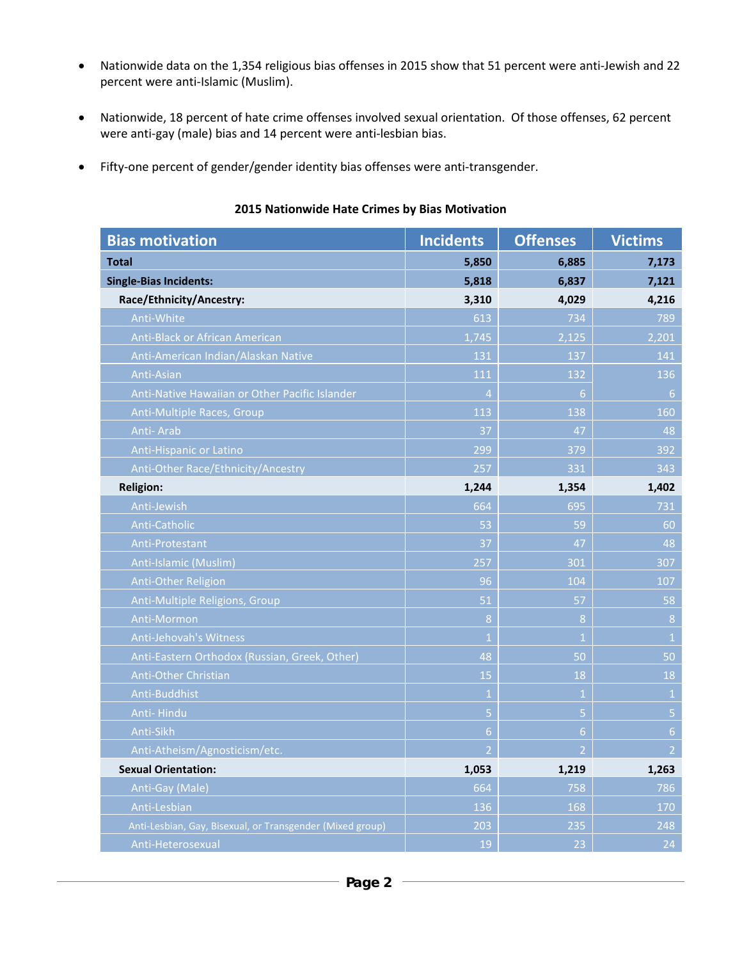- Nationwide data on the 1,354 religious bias offenses in 2015 show that 51 percent were anti-Jewish and 22 percent were anti-Islamic (Muslim).
- Nationwide, 18 percent of hate crime offenses involved sexual orientation. Of those offenses, 62 percent were anti-gay (male) bias and 14 percent were anti-lesbian bias.
- Fifty-one percent of gender/gender identity bias offenses were anti-transgender.

| <b>Bias motivation</b>                                    | <b>Incidents</b> | <b>Offenses</b> | <b>Victims</b> |
|-----------------------------------------------------------|------------------|-----------------|----------------|
| <b>Total</b>                                              | 5,850            | 6,885           | 7,173          |
| <b>Single-Bias Incidents:</b>                             | 5,818            | 6,837           | 7,121          |
| Race/Ethnicity/Ancestry:                                  | 3,310            | 4,029           | 4,216          |
| Anti-White                                                | 613              | 734             | 789            |
| Anti-Black or African American                            | 1,745            | 2,125           | 2,201          |
| Anti-American Indian/Alaskan Native                       | 131              | 137             | 141            |
| Anti-Asian                                                | 111              | 132             | 136            |
| Anti-Native Hawaiian or Other Pacific Islander            | $\overline{4}$   | 6 <sup>1</sup>  | 6              |
| <b>Anti-Multiple Races, Group</b>                         | 113              | 138             | 160            |
| Anti-Arab                                                 | 37               | 47              | 48             |
| Anti-Hispanic or Latino                                   | 299              | 379             | 392            |
| Anti-Other Race/Ethnicity/Ancestry                        | 257              | 331             | 343            |
| <b>Religion:</b>                                          | 1,244            | 1,354           | 1,402          |
| Anti-Jewish                                               | 664              | 695             | 731            |
| Anti-Catholic                                             | 53               | 59              | 60             |
| <b>Anti-Protestant</b>                                    | 37               | 47              | 48             |
| Anti-Islamic (Muslim)                                     | 257              | 301             | 307            |
| Anti-Other Religion                                       | 96               | 104             | 107            |
| Anti-Multiple Religions, Group                            | 51               | 57              | 58             |
| Anti-Mormon                                               | 8                | 8               | 8              |
| Anti-Jehovah's Witness                                    | $\overline{1}$   | $\mathbf{1}$    | $\mathbf 1$    |
| Anti-Eastern Orthodox (Russian, Greek, Other)             | 48               | 50              | 50             |
| Anti-Other Christian                                      | 15               | 18              | 18             |
| Anti-Buddhist                                             | $\mathbf{1}$     | $\mathbf{1}$    | $1\,$          |
| Anti-Hindu                                                | $\overline{5}$   | $\overline{5}$  | $\overline{5}$ |
| Anti-Sikh                                                 | $6 \overline{6}$ | 6 <sup>1</sup>  | $6\phantom{a}$ |
| Anti-Atheism/Agnosticism/etc.                             | $\overline{2}$   | $\overline{2}$  | $\overline{2}$ |
| <b>Sexual Orientation:</b>                                | 1,053            | 1,219           | 1,263          |
| Anti-Gay (Male)                                           | 664              | 758             | 786            |
| Anti-Lesbian                                              | 136              | 168             | 170            |
| Anti-Lesbian, Gay, Bisexual, or Transgender (Mixed group) | 203              | 235             | 248            |
| Anti-Heterosexual                                         | 19               | 23              | 24             |

#### **2015 Nationwide Hate Crimes by Bias Motivation**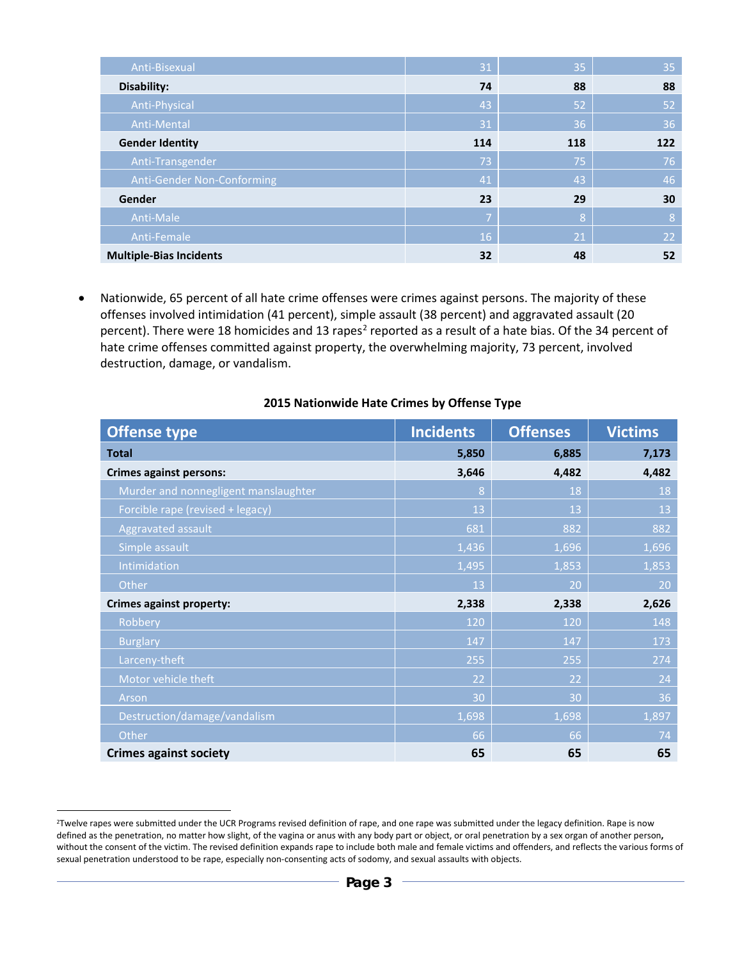| Anti-Bisexual                  | 31             | 35  | 35  |
|--------------------------------|----------------|-----|-----|
| Disability:                    | 74             | 88  | 88  |
| Anti-Physical                  | 43             | 52  | 52  |
| Anti-Mental                    | 31             | 36  | 36  |
| <b>Gender Identity</b>         | 114            | 118 | 122 |
| Anti-Transgender               | 73             | 75  | 76  |
| Anti-Gender Non-Conforming     | 41             | 43  | 46  |
| Gender                         | 23             | 29  | 30  |
| Anti-Male                      | $\mathsf{Z}^1$ | 8   | 8   |
| Anti-Female                    | 16             | 21  | 22  |
| <b>Multiple-Bias Incidents</b> | 32             | 48  | 52  |

• Nationwide, 65 percent of all hate crime offenses were crimes against persons. The majority of these offenses involved intimidation (41 percent), simple assault (38 percent) and aggravated assault (20 percent). There were 18 homicides and 13 rapes<sup>[2](#page-2-0)</sup> reported as a result of a hate bias. Of the 34 percent of hate crime offenses committed against property, the overwhelming majority, 73 percent, involved destruction, damage, or vandalism.

| <b>Offense type</b>                  | <b>Incidents</b> | <b>Offenses</b> | <b>Victims</b> |
|--------------------------------------|------------------|-----------------|----------------|
| <b>Total</b>                         | 5,850            | 6,885           | 7,173          |
| <b>Crimes against persons:</b>       | 3,646            | 4,482           | 4,482          |
| Murder and nonnegligent manslaughter | 8                | 18              | 18             |
| Forcible rape (revised + legacy)     | 13               | 13              | 13             |
| Aggravated assault                   | 681              | 882             | 882            |
| Simple assault                       | 1,436            | 1,696           | 1,696          |
| Intimidation                         | 1,495            | 1,853           | 1,853          |
| Other                                | 13               | 20              | 20             |
| <b>Crimes against property:</b>      | 2,338            | 2,338           | 2,626          |
| Robbery                              | 120              | 120             | 148            |
| <b>Burglary</b>                      | 147              | 147             | 173            |
| Larceny-theft                        | 255              | 255             | 274            |
| Motor vehicle theft                  | 22               | 22              | 24             |
| Arson                                | 30               | 30              | 36             |
| Destruction/damage/vandalism         | 1,698            | 1,698           | 1,897          |
| Other                                | 66               | 66              | 74             |
| <b>Crimes against society</b>        | 65               | 65              | 65             |

#### **2015 Nationwide Hate Crimes by Offense Type**

<u>.</u>

<span id="page-2-0"></span><sup>&</sup>lt;sup>2</sup>Twelve rapes were submitted under the UCR Programs revised definition of rape, and one rape was submitted under the legacy definition. Rape is now defined as the penetration, no matter how slight, of the vagina or anus with any body part or object, or oral penetration by a sex organ of another person**,**  without the consent of the victim. The revised definition expands rape to include both male and female victims and offenders, and reflects the various forms of sexual penetration understood to be rape, especially non-consenting acts of sodomy, and sexual assaults with objects.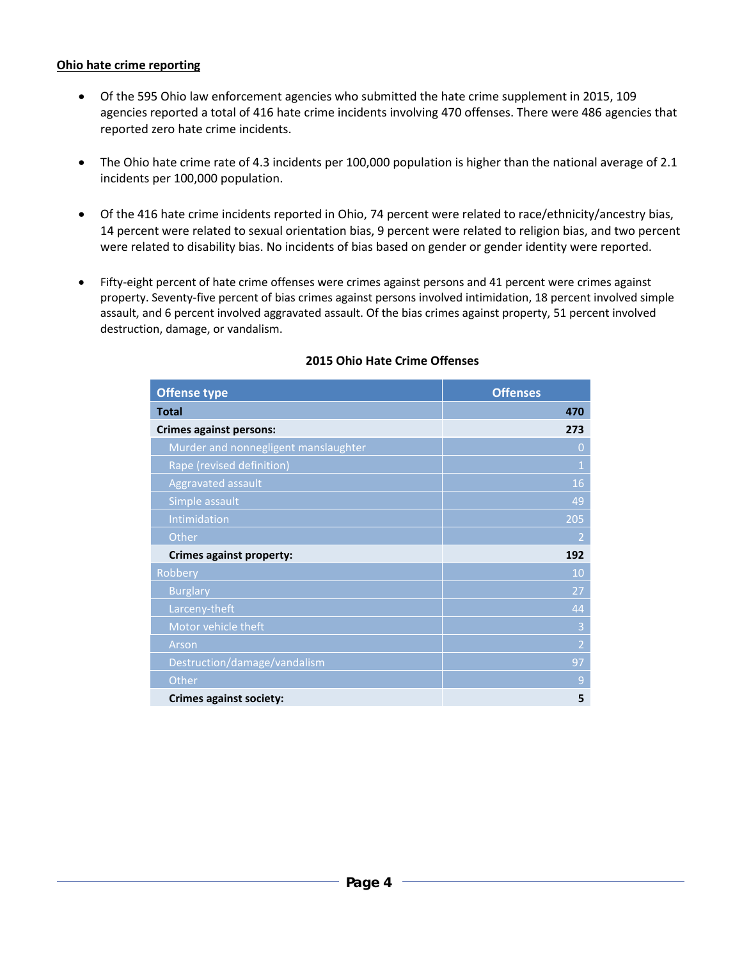#### **Ohio hate crime reporting**

- Of the 595 Ohio law enforcement agencies who submitted the hate crime supplement in 2015, 109 agencies reported a total of 416 hate crime incidents involving 470 offenses. There were 486 agencies that reported zero hate crime incidents.
- The Ohio hate crime rate of 4.3 incidents per 100,000 population is higher than the national average of 2.1 incidents per 100,000 population.
- Of the 416 hate crime incidents reported in Ohio, 74 percent were related to race/ethnicity/ancestry bias, 14 percent were related to sexual orientation bias, 9 percent were related to religion bias, and two percent were related to disability bias. No incidents of bias based on gender or gender identity were reported.
- Fifty-eight percent of hate crime offenses were crimes against persons and 41 percent were crimes against property. Seventy-five percent of bias crimes against persons involved intimidation, 18 percent involved simple assault, and 6 percent involved aggravated assault. Of the bias crimes against property, 51 percent involved destruction, damage, or vandalism.

| <b>Offense type</b>                  | <b>Offenses</b> |
|--------------------------------------|-----------------|
| <b>Total</b>                         | 470             |
| <b>Crimes against persons:</b>       | 273             |
| Murder and nonnegligent manslaughter | 0               |
| Rape (revised definition)            | $\mathbf{1}$    |
| Aggravated assault                   | 16              |
| Simple assault                       | 49              |
| Intimidation                         | 205             |
| Other                                | $\overline{2}$  |
| Crimes against property:             | 192             |
| Robbery                              | 10              |
| <b>Burglary</b>                      | 27              |
| Larceny-theft                        | 44              |
| Motor vehicle theft                  | 3               |
| Arson                                | $\overline{2}$  |
| Destruction/damage/vandalism         | 97              |
| Other                                | 9               |
| Crimes against society:              | 5               |

## **2015 Ohio Hate Crime Offenses**